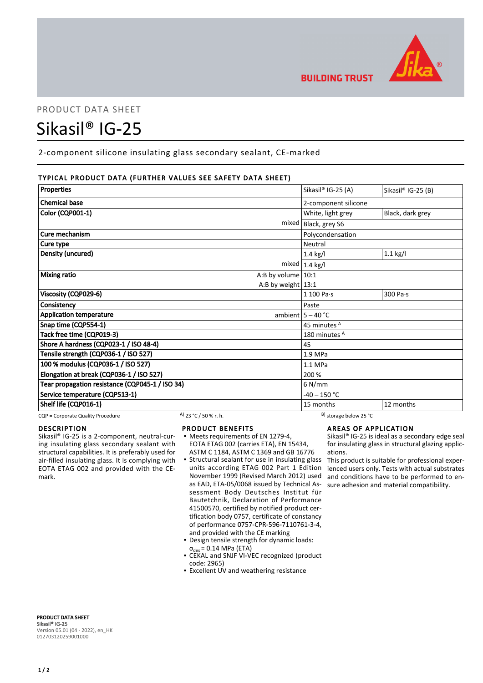

# PRODUCT DATA SHEET

# Sikasil® IG-25

2-component silicone insulating glass secondary sealant, CE-marked

# TYPICAL PRODUCT DATA (FURTHER VALUES SEE SAFETY DATA SHEET)

| Properties                                      | Sikasil® IG-25 (A)      | Sikasil® IG-25 (B) |
|-------------------------------------------------|-------------------------|--------------------|
|                                                 |                         |                    |
| <b>Chemical base</b>                            | 2-component silicone    |                    |
| <b>Color (CQP001-1)</b>                         | White, light grey       | Black, dark grey   |
| mixed                                           | Black, grey S6          |                    |
| Cure mechanism                                  | Polycondensation        |                    |
| Cure type                                       | Neutral                 |                    |
| Density (uncured)                               | $1.4$ kg/l              | $1.1$ kg/l         |
|                                                 | mixed $1.4$ kg/l        |                    |
| <b>Mixing ratio</b><br>A:B by volume $ 10:1$    |                         |                    |
| A:B by weight $13:1$                            |                         |                    |
| Viscosity (CQP029-6)                            | 1 100 Pa·s              | 300 Pa·s           |
| Consistency                                     | Paste                   |                    |
| <b>Application temperature</b>                  | ambient $5 - 40$ °C     |                    |
| Snap time (CQP554-1)                            | 45 minutes <sup>A</sup> |                    |
| Tack free time (CQP019-3)                       | 180 minutes A           |                    |
| Shore A hardness (CQP023-1 / ISO 48-4)          | 45                      |                    |
| Tensile strength (CQP036-1 / ISO 527)           | 1.9 MPa                 |                    |
| 100 % modulus (CQP036-1 / ISO 527)              | 1.1 MPa                 |                    |
| Elongation at break (CQP036-1 / ISO 527)        | 200 %                   |                    |
| Tear propagation resistance (CQP045-1 / ISO 34) | $6$ N/mm                |                    |
| Service temperature (CQP513-1)                  | $-40 - 150$ °C          |                    |
| Shelf life (CQP016-1)                           | 15 months               | 12 months          |

CQP = Corporate Quality Procedure A) 23 °C / 50 % r. h. B) storage below 25 °C

# DESCRIPTION

Sikasil® IG-25 is a 2-component, neutral-curing insulating glass secondary sealant with structural capabilities. It is preferably used for air-filled insulating glass. It is complying with EOTA ETAG 002 and provided with the CEmark.

#### PRODUCT BENEFITS

- Meets requirements of EN 1279-4, EOTA ETAG 002 (carries ETA), EN 15434, ASTM C 1184, ASTM C 1369 and GB 16776
- **Structural sealant for use in insulating glass** units according ETAG 002 Part 1 Edition November 1999 (Revised March 2012) used as EAD, ETA-05/0068 issued by Technical Assessment Body Deutsches Institut für Bautetchnik, Declaration of Performance 41500570, certified by notified product certification body 0757, certificate of constancy of performance 0757-CPR-596-7110761-3-4, and provided with the CE marking
- Design tensile strength for dynamic loads:  $\sigma_{des}$  = 0.14 MPa (ETA)
- CEKAL and SNJF VI-VEC recognized (product code: 2965)
- **Excellent UV and weathering resistance**

# AREAS OF APPLICATION

Sikasil® IG-25 is ideal as a secondary edge seal for insulating glass in structural glazing applications.

This product is suitable for professional experienced users only. Tests with actual substrates and conditions have to be performed to ensure adhesion and material compatibility.

PRODUCT DATA SHEET Sikasil® IG-25 Version 05.01 (04 - 2022), en\_HK 012703120259001000